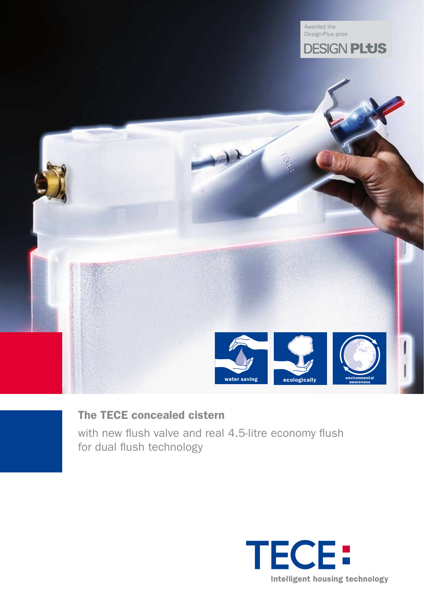

# The TECE concealed cistern

with new flush valve and real 4.5-litre economy flush for dual flush technology

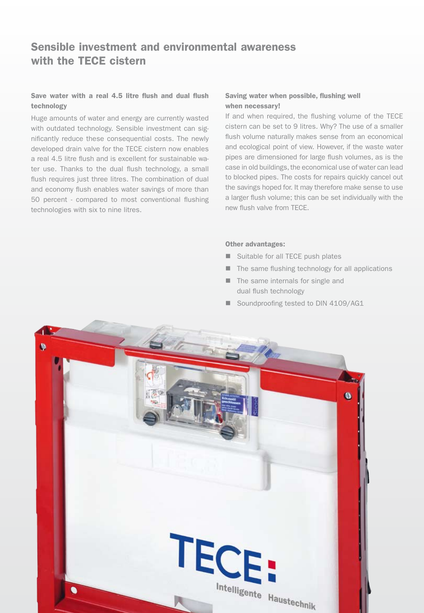# Sensible investment and environmental awareness with the TECE cistern

### Save water with a real 4.5 litre flush and dual flush technology

Huge amounts of water and energy are currently wasted with outdated technology. Sensible investment can significantly reduce these consequential costs. The newly developed drain valve for the TECE cistern now enables a real 4.5 litre flush and is excellent for sustainable water use. Thanks to the dual flush technology, a small flush requires just three litres. The combination of dual and economy flush enables water savings of more than 50 percent - compared to most conventional flushing technologies with six to nine litres.

### Saving water when possible, flushing well when necessary!

If and when required, the flushing volume of the TECE cistern can be set to 9 litres. Why? The use of a smaller flush volume naturally makes sense from an economical and ecological point of view. However, if the waste water pipes are dimensioned for large flush volumes, as is the case in old buildings, the economical use of water can lead to blocked pipes. The costs for repairs quickly cancel out the savings hoped for. It may therefore make sense to use a larger flush volume; this can be set individually with the new flush valve from TECE.

#### Other advantages:

- Suitable for all TECE push plates
- $\blacksquare$  The same flushing technology for all applications
- $\blacksquare$  The same internals for single and dual flush technology
- Soundproofing tested to DIN 4109/AG1

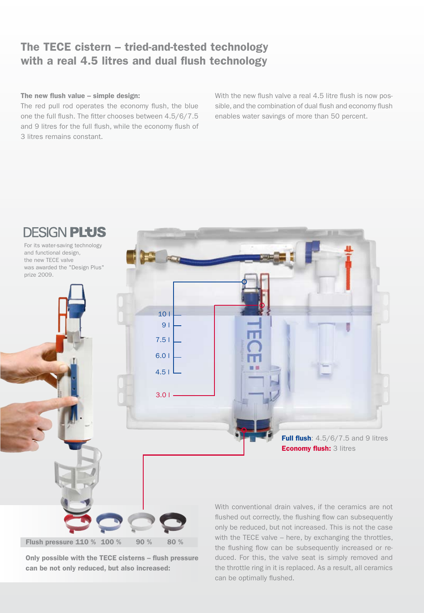## The TECE cistern – tried-and-tested technology with a real 4.5 litres and dual flush technology

### The new flush value – simple design:

The red pull rod operates the economy flush, the blue one the full flush. The fitter chooses between 4.5/6/7.5 and 9 litres for the full flush, while the economy flush of 3 litres remains constant.

With the new flush valve a real 4.5 litre flush is now possible, and the combination of dual flush and economy flush enables water savings of more than 50 percent.



Only possible with the TECE cisterns – flush pressure can be not only reduced, but also increased:

duced. For this, the valve seat is simply removed and the throttle ring in it is replaced. As a result, all ceramics can be optimally flushed.